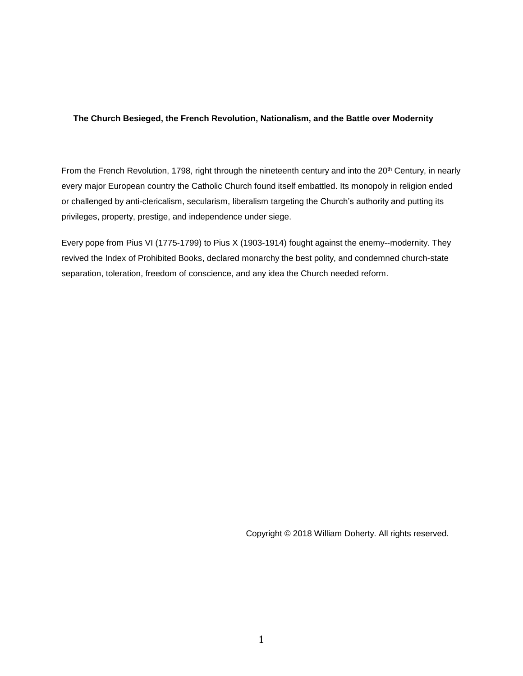## **The Church Besieged, the French Revolution, Nationalism, and the Battle over Modernity**

From the French Revolution, 1798, right through the nineteenth century and into the 20<sup>th</sup> Century, in nearly every major European country the Catholic Church found itself embattled. Its monopoly in religion ended or challenged by anti-clericalism, secularism, liberalism targeting the Church's authority and putting its privileges, property, prestige, and independence under siege.

Every pope from Pius VI (1775-1799) to Pius X (1903-1914) fought against the enemy--modernity. They revived the Index of Prohibited Books, declared monarchy the best polity, and condemned church-state separation, toleration, freedom of conscience, and any idea the Church needed reform.

Copyright © 2018 William Doherty. All rights reserved.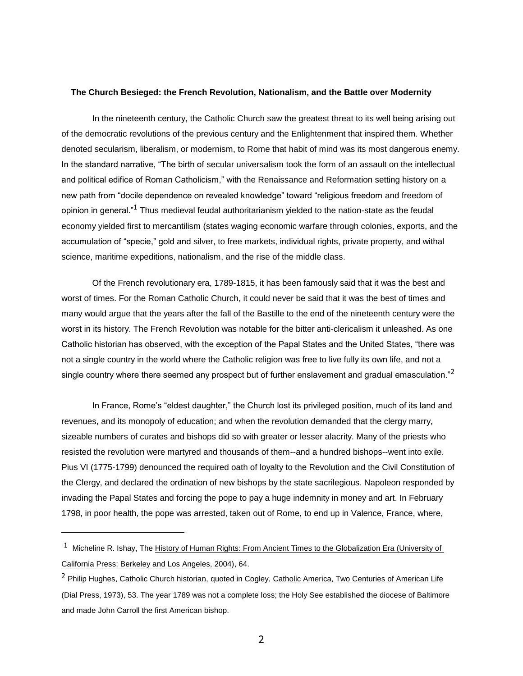## **The Church Besieged: the French Revolution, Nationalism, and the Battle over Modernity**

In the nineteenth century, the Catholic Church saw the greatest threat to its well being arising out of the democratic revolutions of the previous century and the Enlightenment that inspired them. Whether denoted secularism, liberalism, or modernism, to Rome that habit of mind was its most dangerous enemy. In the standard narrative, "The birth of secular universalism took the form of an assault on the intellectual and political edifice of Roman Catholicism," with the Renaissance and Reformation setting history on a new path from "docile dependence on revealed knowledge" toward "religious freedom and freedom of opinion in general."<sup>1</sup> Thus medieval feudal authoritarianism yielded to the nation-state as the feudal economy yielded first to mercantilism (states waging economic warfare through colonies, exports, and the accumulation of "specie," gold and silver, to free markets, individual rights, private property, and withal science, maritime expeditions, nationalism, and the rise of the middle class.

Of the French revolutionary era, 1789-1815, it has been famously said that it was the best and worst of times. For the Roman Catholic Church, it could never be said that it was the best of times and many would argue that the years after the fall of the Bastille to the end of the nineteenth century were the worst in its history. The French Revolution was notable for the bitter anti-clericalism it unleashed. As one Catholic historian has observed, with the exception of the Papal States and the United States, "there was not a single country in the world where the Catholic religion was free to live fully its own life, and not a single country where there seemed any prospect but of further enslavement and gradual emasculation."<sup>2</sup>

In France, Rome's "eldest daughter," the Church lost its privileged position, much of its land and revenues, and its monopoly of education; and when the revolution demanded that the clergy marry, sizeable numbers of curates and bishops did so with greater or lesser alacrity. Many of the priests who resisted the revolution were martyred and thousands of them--and a hundred bishops--went into exile. Pius VI (1775-1799) denounced the required oath of loyalty to the Revolution and the Civil Constitution of the Clergy, and declared the ordination of new bishops by the state sacrilegious. Napoleon responded by invading the Papal States and forcing the pope to pay a huge indemnity in money and art. In February 1798, in poor health, the pope was arrested, taken out of Rome, to end up in Valence, France, where,

<sup>&</sup>lt;sup>1</sup> Micheline R. Ishay, The History of Human Rights: From Ancient Times to the Globalization Era (University of California Press: Berkeley and Los Angeles, 2004), 64.

<sup>&</sup>lt;sup>2</sup> Philip Hughes, Catholic Church historian, quoted in Cogley, Catholic America, Two Centuries of American Life (Dial Press, 1973), 53. The year 1789 was not a complete loss; the Holy See established the diocese of Baltimore and made John Carroll the first American bishop.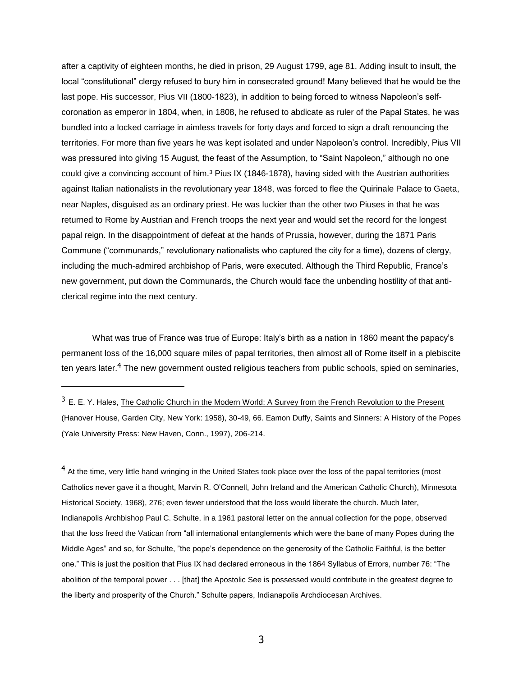after a captivity of eighteen months, he died in prison, 29 August 1799, age 81. Adding insult to insult, the local "constitutional" clergy refused to bury him in consecrated ground! Many believed that he would be the last pope. His successor, Pius VII (1800-1823), in addition to being forced to witness Napoleon's selfcoronation as emperor in 1804, when, in 1808, he refused to abdicate as ruler of the Papal States, he was bundled into a locked carriage in aimless travels for forty days and forced to sign a draft renouncing the territories. For more than five years he was kept isolated and under Napoleon's control. Incredibly, Pius VII was pressured into giving 15 August, the feast of the Assumption, to "Saint Napoleon," although no one could give a convincing account of him.<sup>3</sup> Pius IX (1846-1878), having sided with the Austrian authorities against Italian nationalists in the revolutionary year 1848, was forced to flee the Quirinale Palace to Gaeta, near Naples, disguised as an ordinary priest. He was luckier than the other two Piuses in that he was returned to Rome by Austrian and French troops the next year and would set the record for the longest papal reign. In the disappointment of defeat at the hands of Prussia, however, during the 1871 Paris Commune ("communards," revolutionary nationalists who captured the city for a time), dozens of clergy, including the much-admired archbishop of Paris, were executed. Although the Third Republic, France's new government, put down the Communards, the Church would face the unbending hostility of that anticlerical regime into the next century.

What was true of France was true of Europe: Italy's birth as a nation in 1860 meant the papacy's permanent loss of the 16,000 square miles of papal territories, then almost all of Rome itself in a plebiscite ten years later.<sup>4</sup> The new government ousted religious teachers from public schools, spied on seminaries,

 $\overline{a}$ 

<sup>4</sup> At the time, very little hand wringing in the United States took place over the loss of the papal territories (most Catholics never gave it a thought, Marvin R. O'Connell, John Ireland and the American Catholic Church), Minnesota Historical Society, 1968), 276; even fewer understood that the loss would liberate the church. Much later, Indianapolis Archbishop Paul C. Schulte, in a 1961 pastoral letter on the annual collection for the pope, observed that the loss freed the Vatican from "all international entanglements which were the bane of many Popes during the Middle Ages" and so, for Schulte, "the pope's dependence on the generosity of the Catholic Faithful, is the better one." This is just the position that Pius IX had declared erroneous in the 1864 Syllabus of Errors, number 76: "The abolition of the temporal power . . . [that] the Apostolic See is possessed would contribute in the greatest degree to the liberty and prosperity of the Church." Schulte papers, Indianapolis Archdiocesan Archives.

<sup>&</sup>lt;sup>3</sup> E. E. Y. Hales, The Catholic Church in the Modern World: A Survey from the French Revolution to the Present (Hanover House, Garden City, New York: 1958), 30-49, 66. Eamon Duffy, Saints and Sinners: A History of the Popes (Yale University Press: New Haven, Conn., 1997), 206-214.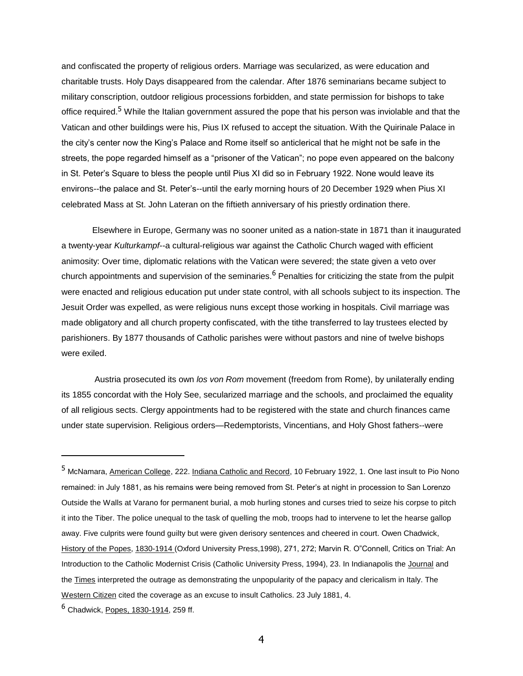and confiscated the property of religious orders. Marriage was secularized, as were education and charitable trusts. Holy Days disappeared from the calendar. After 1876 seminarians became subject to military conscription, outdoor religious processions forbidden, and state permission for bishops to take office required.<sup>5</sup> While the Italian government assured the pope that his person was inviolable and that the Vatican and other buildings were his, Pius IX refused to accept the situation. With the Quirinale Palace in the city's center now the King's Palace and Rome itself so anticlerical that he might not be safe in the streets, the pope regarded himself as a "prisoner of the Vatican"; no pope even appeared on the balcony in St. Peter's Square to bless the people until Pius XI did so in February 1922. None would leave its environs--the palace and St. Peter's--until the early morning hours of 20 December 1929 when Pius XI celebrated Mass at St. John Lateran on the fiftieth anniversary of his priestly ordination there.

Elsewhere in Europe, Germany was no sooner united as a nation-state in 1871 than it inaugurated a twenty-year *Kulturkampf*--a cultural-religious war against the Catholic Church waged with efficient animosity: Over time, diplomatic relations with the Vatican were severed; the state given a veto over church appointments and supervision of the seminaries.<sup>6</sup> Penalties for criticizing the state from the pulpit were enacted and religious education put under state control, with all schools subject to its inspection. The Jesuit Order was expelled, as were religious nuns except those working in hospitals. Civil marriage was made obligatory and all church property confiscated, with the tithe transferred to lay trustees elected by parishioners. By 1877 thousands of Catholic parishes were without pastors and nine of twelve bishops were exiled.

Austria prosecuted its own *los von Rom* movement (freedom from Rome), by unilaterally ending its 1855 concordat with the Holy See, secularized marriage and the schools, and proclaimed the equality of all religious sects. Clergy appointments had to be registered with the state and church finances came under state supervision. Religious orders—Redemptorists, Vincentians, and Holy Ghost fathers--were

<sup>5</sup> McNamara, American College, 222. Indiana Catholic and Record, 10 February 1922, 1. One last insult to Pio Nono remained: in July 1881, as his remains were being removed from St. Peter's at night in procession to San Lorenzo Outside the Walls at Varano for permanent burial, a mob hurling stones and curses tried to seize his corpse to pitch it into the Tiber. The police unequal to the task of quelling the mob, troops had to intervene to let the hearse gallop away. Five culprits were found guilty but were given derisory sentences and cheered in court. Owen Chadwick, History of the Popes, 1830-1914 (Oxford University Press,1998), 271, 272; Marvin R. O"Connell, Critics on Trial: An Introduction to the Catholic Modernist Crisis (Catholic University Press, 1994), 23. In Indianapolis the Journal and the Times interpreted the outrage as demonstrating the unpopularity of the papacy and clericalism in Italy. The Western Citizen cited the coverage as an excuse to insult Catholics. 23 July 1881, 4.

<sup>6</sup> Chadwick, Popes, 1830-1914, 259 ff.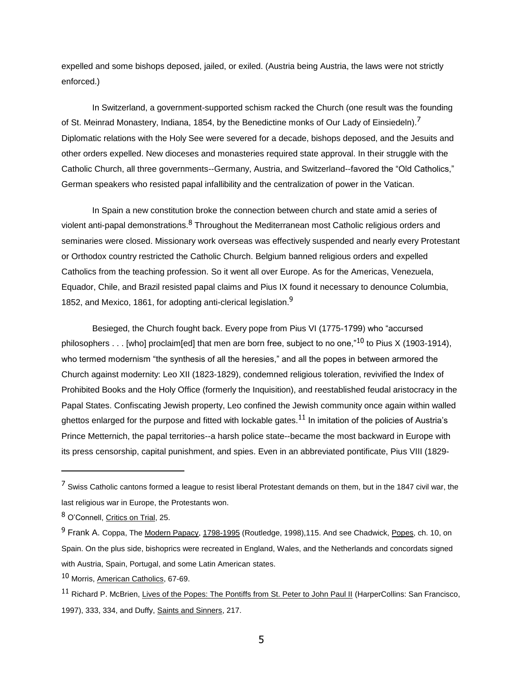expelled and some bishops deposed, jailed, or exiled. (Austria being Austria, the laws were not strictly enforced.)

In Switzerland, a government-supported schism racked the Church (one result was the founding of St. Meinrad Monastery, Indiana, 1854, by the Benedictine monks of Our Lady of Einsiedeln).<sup>7</sup> Diplomatic relations with the Holy See were severed for a decade, bishops deposed, and the Jesuits and other orders expelled. New dioceses and monasteries required state approval. In their struggle with the Catholic Church, all three governments--Germany, Austria, and Switzerland--favored the "Old Catholics," German speakers who resisted papal infallibility and the centralization of power in the Vatican.

In Spain a new constitution broke the connection between church and state amid a series of violent anti-papal demonstrations.<sup>8</sup> Throughout the Mediterranean most Catholic religious orders and seminaries were closed. Missionary work overseas was effectively suspended and nearly every Protestant or Orthodox country restricted the Catholic Church. Belgium banned religious orders and expelled Catholics from the teaching profession. So it went all over Europe. As for the Americas, Venezuela, Equador, Chile, and Brazil resisted papal claims and Pius IX found it necessary to denounce Columbia, 1852, and Mexico, 1861, for adopting anti-clerical legislation.<sup>9</sup>

Besieged, the Church fought back. Every pope from Pius VI (1775-1799) who "accursed philosophers  $\dots$  [who] proclaim[ed] that men are born free, subject to no one,"<sup>10</sup> to Pius X (1903-1914), who termed modernism "the synthesis of all the heresies," and all the popes in between armored the Church against modernity: Leo XII (1823-1829), condemned religious toleration, revivified the Index of Prohibited Books and the Holy Office (formerly the Inquisition), and reestablished feudal aristocracy in the Papal States. Confiscating Jewish property, Leo confined the Jewish community once again within walled ghettos enlarged for the purpose and fitted with lockable gates.<sup>11</sup> In imitation of the policies of Austria's Prince Metternich, the papal territories--a harsh police state--became the most backward in Europe with its press censorship, capital punishment, and spies. Even in an abbreviated pontificate, Pius VIII (1829-

 $<sup>7</sup>$  Swiss Catholic cantons formed a league to resist liberal Protestant demands on them, but in the 1847 civil war, the</sup> last religious war in Europe, the Protestants won.

<sup>8</sup> O'Connell, Critics on Trial, 25.

<sup>&</sup>lt;sup>9</sup> Frank A. Coppa, The Modern Papacy, 1798-1995 (Routledge, 1998),115. And see Chadwick, Popes, ch. 10, on Spain. On the plus side, bishoprics were recreated in England, Wales, and the Netherlands and concordats signed with Austria, Spain, Portugal, and some Latin American states.

<sup>10</sup> Morris, American Catholics, 67-69.

<sup>&</sup>lt;sup>11</sup> Richard P. McBrien, Lives of the Popes: The Pontiffs from St. Peter to John Paul II (HarperCollins: San Francisco, 1997), 333, 334, and Duffy, Saints and Sinners, 217.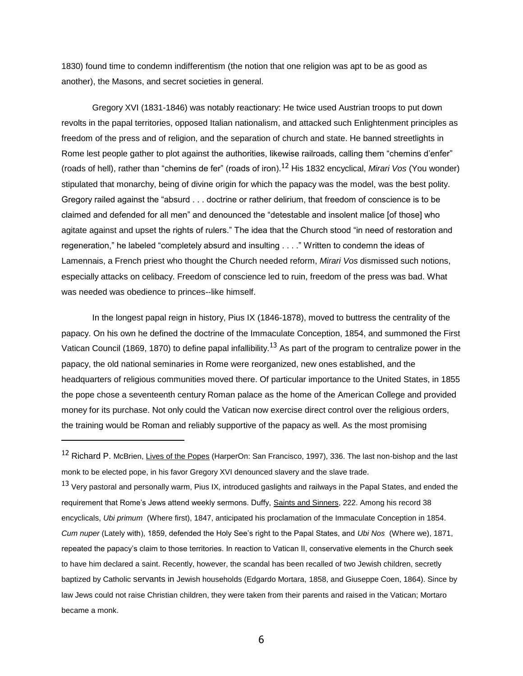1830) found time to condemn indifferentism (the notion that one religion was apt to be as good as another), the Masons, and secret societies in general.

Gregory XVI (1831-1846) was notably reactionary: He twice used Austrian troops to put down revolts in the papal territories, opposed Italian nationalism, and attacked such Enlightenment principles as freedom of the press and of religion, and the separation of church and state. He banned streetlights in Rome lest people gather to plot against the authorities, likewise railroads, calling them "chemins d'enfer" (roads of hell), rather than "chemins de fer" (roads of iron).<sup>12</sup> His 1832 encyclical, *Mirari Vos* (You wonder) stipulated that monarchy, being of divine origin for which the papacy was the model, was the best polity. Gregory railed against the "absurd . . . doctrine or rather delirium, that freedom of conscience is to be claimed and defended for all men" and denounced the "detestable and insolent malice [of those] who agitate against and upset the rights of rulers." The idea that the Church stood "in need of restoration and regeneration," he labeled "completely absurd and insulting . . . ." Written to condemn the ideas of Lamennais, a French priest who thought the Church needed reform, *Mirari Vos* dismissed such notions, especially attacks on celibacy. Freedom of conscience led to ruin, freedom of the press was bad. What was needed was obedience to princes--like himself.

In the longest papal reign in history, Pius IX (1846-1878), moved to buttress the centrality of the papacy. On his own he defined the doctrine of the Immaculate Conception, 1854, and summoned the First Vatican Council (1869, 1870) to define papal infallibility.<sup>13</sup> As part of the program to centralize power in the papacy, the old national seminaries in Rome were reorganized, new ones established, and the headquarters of religious communities moved there. Of particular importance to the United States, in 1855 the pope chose a seventeenth century Roman palace as the home of the American College and provided money for its purchase. Not only could the Vatican now exercise direct control over the religious orders, the training would be Roman and reliably supportive of the papacy as well. As the most promising

 $\overline{a}$ 

<sup>13</sup> Very pastoral and personally warm, Pius IX, introduced gaslights and railways in the Papal States, and ended the requirement that Rome's Jews attend weekly sermons. Duffy, Saints and Sinners, 222. Among his record 38 encyclicals, *Ubi primum* (Where first), 1847, anticipated his proclamation of the Immaculate Conception in 1854. *Cum nuper* (Lately with), 1859, defended the Holy See's right to the Papal States, and *Ubi Nos* (Where we), 1871, repeated the papacy's claim to those territories. In reaction to Vatican II, conservative elements in the Church seek to have him declared a saint. Recently, however, the scandal has been recalled of two Jewish children, secretly baptized by Catholic servants in Jewish households (Edgardo Mortara, 1858, and Giuseppe Coen, 1864). Since by law Jews could not raise Christian children, they were taken from their parents and raised in the Vatican; Mortaro became a monk.

6

<sup>&</sup>lt;sup>12</sup> Richard P. McBrien, Lives of the Popes (HarperOn: San Francisco, 1997), 336. The last non-bishop and the last monk to be elected pope, in his favor Gregory XVI denounced slavery and the slave trade.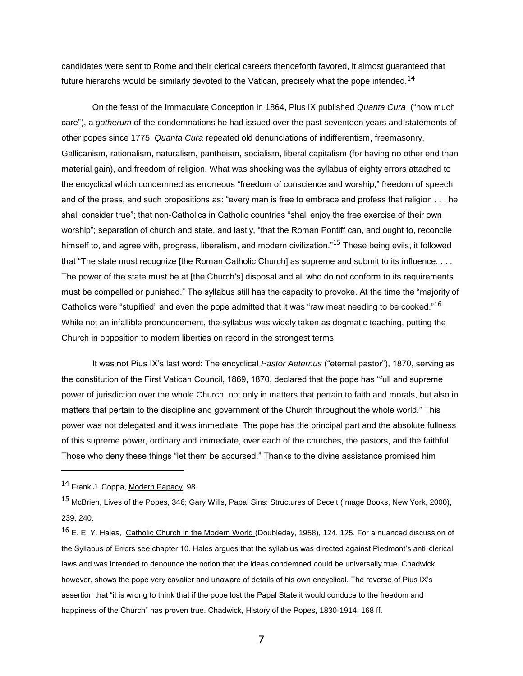candidates were sent to Rome and their clerical careers thenceforth favored, it almost guaranteed that future hierarchs would be similarly devoted to the Vatican, precisely what the pope intended.<sup>14</sup>

On the feast of the Immaculate Conception in 1864, Pius IX published *Quanta Cura* ("how much care"), a *gatherum* of the condemnations he had issued over the past seventeen years and statements of other popes since 1775. *Quanta Cura* repeated old denunciations of indifferentism, freemasonry, Gallicanism, rationalism, naturalism, pantheism, socialism, liberal capitalism (for having no other end than material gain), and freedom of religion. What was shocking was the syllabus of eighty errors attached to the encyclical which condemned as erroneous "freedom of conscience and worship," freedom of speech and of the press, and such propositions as: "every man is free to embrace and profess that religion . . . he shall consider true"; that non-Catholics in Catholic countries "shall enjoy the free exercise of their own worship"; separation of church and state, and lastly, "that the Roman Pontiff can, and ought to, reconcile himself to, and agree with, progress, liberalism, and modern civilization."<sup>15</sup> These being evils, it followed that "The state must recognize [the Roman Catholic Church] as supreme and submit to its influence. . . . The power of the state must be at [the Church's] disposal and all who do not conform to its requirements must be compelled or punished." The syllabus still has the capacity to provoke. At the time the "majority of Catholics were "stupified" and even the pope admitted that it was "raw meat needing to be cooked."<sup>16</sup> While not an infallible pronouncement, the syllabus was widely taken as dogmatic teaching, putting the Church in opposition to modern liberties on record in the strongest terms.

It was not Pius IX's last word: The encyclical *Pastor Aeternus* ("eternal pastor"), 1870, serving as the constitution of the First Vatican Council, 1869, 1870, declared that the pope has "full and supreme power of jurisdiction over the whole Church, not only in matters that pertain to faith and morals, but also in matters that pertain to the discipline and government of the Church throughout the whole world." This power was not delegated and it was immediate. The pope has the principal part and the absolute fullness of this supreme power, ordinary and immediate, over each of the churches, the pastors, and the faithful. Those who deny these things "let them be accursed." Thanks to the divine assistance promised him

<sup>14</sup> Frank J. Coppa, Modern Papacy, 98.

<sup>&</sup>lt;sup>15</sup> McBrien, Lives of the Popes, 346; Gary Wills, Papal Sins: Structures of Deceit (Image Books, New York, 2000), 239, 240.

<sup>&</sup>lt;sup>16</sup> E. E. Y. Hales, Catholic Church in the Modern World (Doubleday, 1958), 124, 125. For a nuanced discussion of the Syllabus of Errors see chapter 10. Hales argues that the syllablus was directed against Piedmont's anti-clerical laws and was intended to denounce the notion that the ideas condemned could be universally true. Chadwick, however, shows the pope very cavalier and unaware of details of his own encyclical. The reverse of Pius IX's assertion that "it is wrong to think that if the pope lost the Papal State it would conduce to the freedom and happiness of the Church" has proven true. Chadwick, History of the Popes, 1830-1914, 168 ff.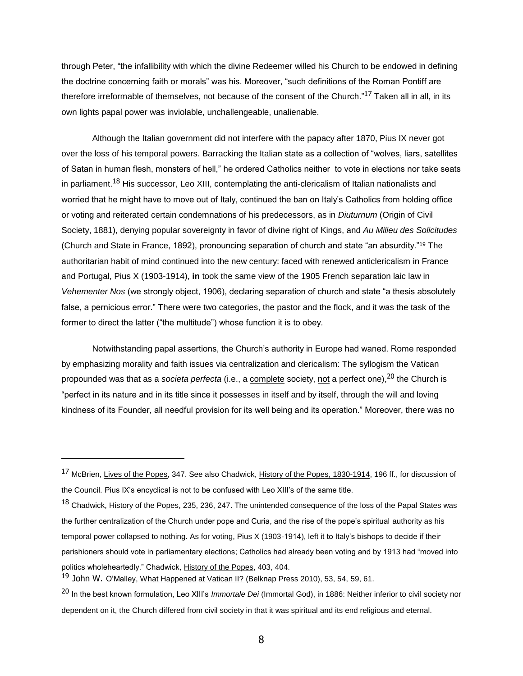through Peter, "the infallibility with which the divine Redeemer willed his Church to be endowed in defining the doctrine concerning faith or morals" was his. Moreover, "such definitions of the Roman Pontiff are therefore irreformable of themselves, not because of the consent of the Church."<sup>17</sup> Taken all in all, in its own lights papal power was inviolable, unchallengeable, unalienable.

Although the Italian government did not interfere with the papacy after 1870, Pius IX never got over the loss of his temporal powers. Barracking the Italian state as a collection of "wolves, liars, satellites of Satan in human flesh, monsters of hell," he ordered Catholics neither to vote in elections nor take seats in parliament.<sup>18</sup> His successor, Leo XIII, contemplating the anti-clericalism of Italian nationalists and worried that he might have to move out of Italy, continued the ban on Italy's Catholics from holding office or voting and reiterated certain condemnations of his predecessors, as in *Diuturnum* (Origin of Civil Society, 1881), denying popular sovereignty in favor of divine right of Kings, and *Au Milieu des Solicitudes*  (Church and State in France, 1892), pronouncing separation of church and state "an absurdity."<sup>19</sup> The authoritarian habit of mind continued into the new century: faced with renewed anticlericalism in France and Portugal, Pius X (1903-1914), **in** took the same view of the 1905 French separation laic law in *Vehementer Nos* (we strongly object, 1906), declaring separation of church and state "a thesis absolutely false, a pernicious error." There were two categories, the pastor and the flock, and it was the task of the former to direct the latter ("the multitude") whose function it is to obey.

Notwithstanding papal assertions, the Church's authority in Europe had waned. Rome responded by emphasizing morality and faith issues via centralization and clericalism: The syllogism the Vatican propounded was that as a *societa perfecta* (i.e., a complete society, not a perfect one),<sup>20</sup> the Church is "perfect in its nature and in its title since it possesses in itself and by itself, through the will and loving kindness of its Founder, all needful provision for its well being and its operation." Moreover, there was no

<sup>&</sup>lt;sup>17</sup> McBrien, Lives of the Popes, 347. See also Chadwick, History of the Popes, 1830-1914, 196 ff., for discussion of the Council. Pius IX's encyclical is not to be confused with Leo XIII's of the same title.

<sup>&</sup>lt;sup>18</sup> Chadwick, History of the Popes, 235, 236, 247. The unintended consequence of the loss of the Papal States was the further centralization of the Church under pope and Curia, and the rise of the pope's spiritual authority as his temporal power collapsed to nothing. As for voting, Pius X (1903-1914), left it to Italy's bishops to decide if their parishioners should vote in parliamentary elections; Catholics had already been voting and by 1913 had "moved into politics wholeheartedly." Chadwick, History of the Popes, 403, 404.

<sup>&</sup>lt;sup>19</sup> John W. O'Malley, What Happened at Vatican II? (Belknap Press 2010), 53, 54, 59, 61.

<sup>20</sup> In the best known formulation, Leo XIII's *Immortale Dei* (Immortal God), in 1886: Neither inferior to civil society nor dependent on it, the Church differed from civil society in that it was spiritual and its end religious and eternal.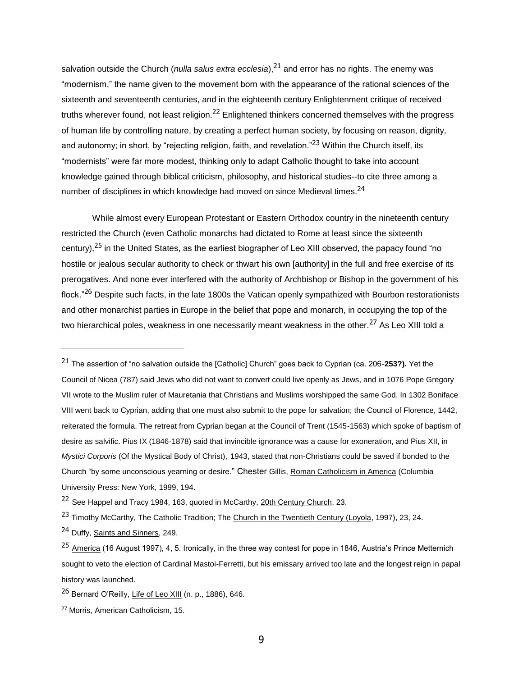salvation outside the Church (*nulla salus extra ecclesia*),<sup>21</sup> and error has no rights. The enemy was "modernism," the name given to the movement born with the appearance of the rational sciences of the sixteenth and seventeenth centuries, and in the eighteenth century Enlightenment critique of received truths wherever found, not least religion.<sup>22</sup> Enlightened thinkers concerned themselves with the progress of human life by controlling nature, by creating a perfect human society, by focusing on reason, dignity, and autonomy; in short, by "rejecting religion, faith, and revelation."<sup>23</sup> Within the Church itself, its "modernists" were far more modest, thinking only to adapt Catholic thought to take into account knowledge gained through biblical criticism, philosophy, and historical studies--to cite three among a number of disciplines in which knowledge had moved on since Medieval times.<sup>24</sup>

While almost every European Protestant or Eastern Orthodox country in the nineteenth century restricted the Church (even Catholic monarchs had dictated to Rome at least since the sixteenth century),<sup>25</sup> in the United States, as the earliest biographer of Leo XIII observed, the papacy found "no hostile or jealous secular authority to check or thwart his own [authority] in the full and free exercise of its prerogatives. And none ever interfered with the authority of Archbishop or Bishop in the government of his flock."<sup>26</sup> Despite such facts, in the late 1800s the Vatican openly sympathized with Bourbon restorationists and other monarchist parties in Europe in the belief that pope and monarch, in occupying the top of the two hierarchical poles, weakness in one necessarily meant weakness in the other.<sup>27</sup> As Leo XIII told a

<sup>21</sup> The assertion of "no salvation outside the [Catholic] Church" goes back to Cyprian (ca. 206-**253?).** Yet the Council of Nicea (787) said Jews who did not want to convert could live openly as Jews, and in 1076 Pope Gregory VII wrote to the Muslim ruler of Mauretania that Christians and Muslims worshipped the same God. In 1302 Boniface VIII went back to Cyprian, adding that one must also submit to the pope for salvation; the Council of Florence, 1442, reiterated the formula. The retreat from Cyprian began at the Council of Trent (1545-1563) which spoke of baptism of desire as salvific. Pius IX (1846-1878) said that invincible ignorance was a cause for exoneration, and Pius XII, in *Mystici Corporis* (Of the Mystical Body of Christ), 1943, stated that non-Christians could be saved if bonded to the Church "by some unconscious yearning or desire." Chester Gillis, Roman Catholicism in America (Columbia University Press: New York, 1999, 194.

<sup>&</sup>lt;sup>22</sup> See Happel and Tracy 1984, 163, quoted in McCarthy, 20th Century Church, 23.

<sup>&</sup>lt;sup>23</sup> Timothy McCarthy, The Catholic Tradition; The Church in the Twentieth Century (Loyola, 1997), 23, 24.

<sup>&</sup>lt;sup>24</sup> Duffy, Saints and Sinners, 249.

<sup>&</sup>lt;sup>25</sup> America (16 August 1997), 4, 5. Ironically, in the three way contest for pope in 1846, Austria's Prince Metternich sought to veto the election of Cardinal Mastoi-Ferretti, but his emissary arrived too late and the longest reign in papal history was launched.

<sup>26</sup> Bernard O'Reilly, Life of Leo XIII (n. p., 1886), 646.

<sup>27</sup> Morris, American Catholicism, 15.